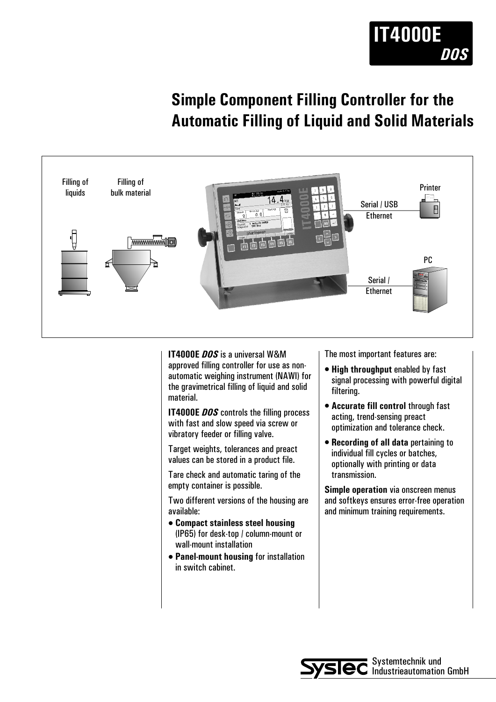

## **Simple Component Filling Controller for the Automatic Filling of Liquid and Solid Materials**



**IT4000E** *DOS* is a universal W&M approved filling controller for use as nonautomatic weighing instrument (NAWI) for the gravimetrical filling of liquid and solid material.

**IT4000E** *DOS* controls the filling process with fast and slow speed via screw or vibratory feeder or filling valve.

Target weights, tolerances and preact values can be stored in a product file.

Tare check and automatic taring of the empty container is possible.

Two different versions of the housing are available:

- $\bullet$  **Compact stainless steel housing** (IP65) for desk-top / column-mount or wall-mount installation
- **Panel-mount housing for installation** in switch cabinet.

The most important features are:

- **High throughput enabled by fast** signal processing with powerful digital filtering.
- **Accurate fill control through fast** acting, trend-sensing preact optimization and tolerance check.
- <sup>l</sup> **Recording of all data** pertaining to individual fill cycles or batches, optionally with printing or data transmission.

**Simple operation** via onscreen menus and softkeys ensures error-free operation and minimum training requirements.